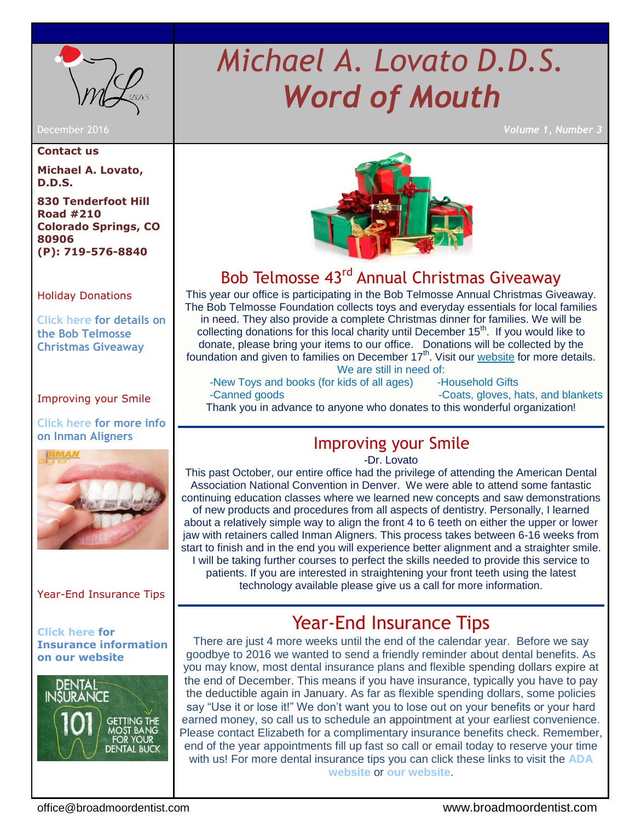

#### **Contact us**

**Michael A. Lovato, D.D.S.**

**830 Tenderfoot Hill Road #210 Colorado Springs, CO 80906 (P): 719-576-8840**

## [Holiday Donations](#page-0-0)

**[Click here for details on](#page-0-0)  [the Bob Telmosse](http://www.santa-bob.org/)  [Christmas Giveaway](http://www.santa-bob.org/)**

## [Improving your Smile](#page-0-1)

**[Click here for more info](http://www.inmanaligner.com/how-it-works/index.php)  [on Inman Aligners](http://www.inmanaligner.com/how-it-works/index.php)**



## [Year-End Insurance Tips](#page-1-0)

**[Click here](http://www.broadmoordentist.com/patient-information/insurance/) for Insurance information on our website**



# *Michael A. Lovato D.D.S. Word of Mouth*

December 2016 *Volume 1, Number 3*



# Bob Telmosse 43<sup>rd</sup> Annual Christmas Giveaway

<span id="page-0-0"></span>This year our office is participating in the Bob Telmosse Annual Christmas Giveaway. The Bob Telmosse Foundation collects toys and everyday essentials for local families in need. They also provide a complete Christmas dinner for families. We will be collecting donations for this local charity until December  $15<sup>th</sup>$ . If you would like to donate, please bring your items to our office. Donations will be collected by the foundation and given to families on December 17<sup>th</sup>. Visit our [website](http://www.broadmoordentist.com/office-newsletter/) for more details. We are still in need of:

<span id="page-0-1"></span>-New Toys and books (for kids of all ages) -Household Gifts -Canned goods **-Coats, gloves, hats, and blankets** Thank you in advance to anyone who donates to this wonderful organization!

## Improving your Smile

-Dr. Lovato

This past October, our entire office had the privilege of attending the American Dental Association National Convention in Denver. We were able to attend some fantastic continuing education classes where we learned new concepts and saw demonstrations of new products and procedures from all aspects of dentistry. Personally, I learned about a relatively simple way to align the front 4 to 6 teeth on either the upper or lower jaw with retainers called Inman Aligners. This process takes between 6-16 weeks from start to finish and in the end you will experience better alignment and a straighter smile. I will be taking further courses to perfect the skills needed to provide this service to patients. If you are interested in straightening your front teeth using the latest technology available please give us a call for more information.

# <span id="page-0-2"></span>Year-End Insurance Tips

There are just 4 more weeks until the end of the calendar year. Before we say goodbye to 2016 we wanted to send a friendly reminder about dental benefits. As you may know, most dental insurance plans and flexible spending dollars expire at the end of December. This means if you have insurance, typically you have to pay the deductible again in January. As far as flexible spending dollars, some policies say "Use it or lose it!" We don't want you to lose out on your benefits or your hard earned money, so call us to schedule an appointment at your earliest convenience. Please contact Elizabeth for a complimentary insurance benefits check. Remember, end of the year appointments fill up fast so call or email today to reserve your time with us! For more dental insurance tips you can click these links to visit the **[ADA](http://www.mouthhealthy.org/en/dental-care-concerns/paying-for-dental-care)  [website](http://www.mouthhealthy.org/en/dental-care-concerns/paying-for-dental-care)** or **[our website](http://www.broadmoordentist.com/)**.